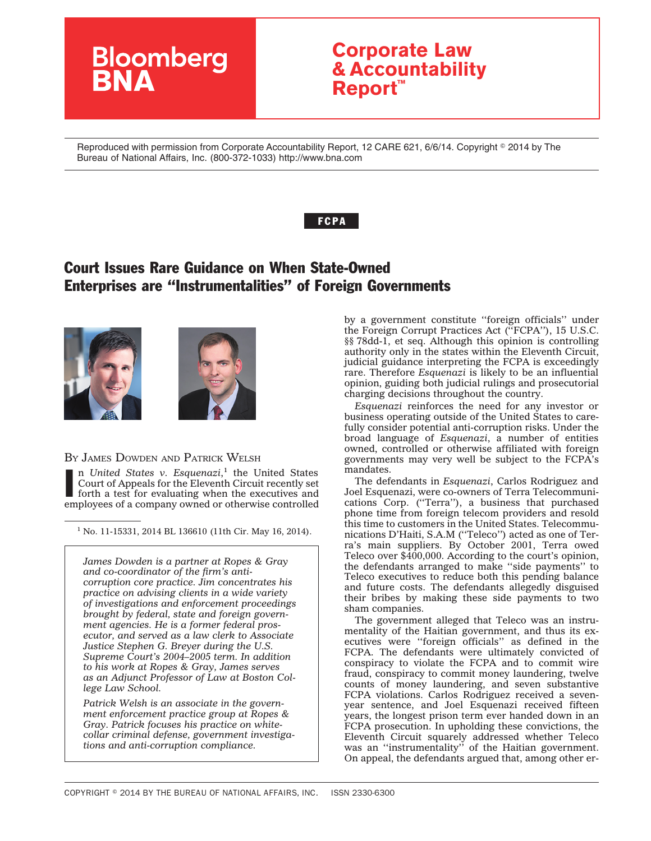# **Bloomberg**

## **Corporate Law & Accountability Report™**

Reproduced with permission from Corporate Accountability Report, 12 CARE 621, 6/6/14. Copyright © 2014 by The Bureau of National Affairs, Inc. (800-372-1033) http://www.bna.com

#### **FCPA**

## Court Issues Rare Guidance on When State-Owned Enterprises are ''Instrumentalities'' of Foreign Governments





#### BY JAMES DOWDEN AND PATRICK WELSH

In United States v. Esquenazi,<sup>1</sup> the United States Court of Appeals for the Eleventh Circuit recently set forth a test for evaluating when the executives and employees of a company owned or otherwise controlled n *United States v. Esquenazi*, <sup>1</sup> the United States Court of Appeals for the Eleventh Circuit recently set forth a test for evaluating when the executives and

 $1$  No. 11-15331, 2014 BL 136610 (11th Cir. May 16, 2014).

*[James Dowden](http://www.ropesgray.com/biographies/d/james-p-dowden.aspx) is a partner at Ropes & Gray and co-coordinator of the firm's anticorruption core practice. Jim concentrates his practice on advising clients in a wide variety of investigations and enforcement proceedings brought by federal, state and foreign government agencies. He is a former federal prosecutor, and served as a law clerk to Associate Justice Stephen G. Breyer during the U.S. Supreme Court's 2004–2005 term. In addition to his work at Ropes & Gray, James serves as an Adjunct Professor of Law at Boston College Law School.*

*Patrick Welsh is an associate in the government enforcement practice group at Ropes & Gray. Patrick focuses his practice on whitecollar criminal defense, government investigations and anti-corruption compliance.*

by a government constitute ''foreign officials'' under the Foreign Corrupt Practices Act (''FCPA''), 15 U.S.C. §§ 78dd-1, et seq. Although this opinion is controlling authority only in the states within the Eleventh Circuit, judicial guidance interpreting the FCPA is exceedingly rare. Therefore *Esquenazi* is likely to be an influential opinion, guiding both judicial rulings and prosecutorial charging decisions throughout the country.

*Esquenazi* reinforces the need for any investor or business operating outside of the United States to carefully consider potential anti-corruption risks. Under the broad language of *Esquenazi*, a number of entities owned, controlled or otherwise affiliated with foreign governments may very well be subject to the FCPA's mandates.

The defendants in *Esquenazi*, Carlos Rodriguez and Joel Esquenazi, were co-owners of Terra Telecommunications Corp. (''Terra''), a business that purchased phone time from foreign telecom providers and resold this time to customers in the United States. Telecommunications D'Haiti, S.A.M (''Teleco'') acted as one of Terra's main suppliers. By October 2001, Terra owed Teleco over \$400,000. According to the court's opinion, the defendants arranged to make ''side payments'' to Teleco executives to reduce both this pending balance and future costs. The defendants allegedly disguised their bribes by making these side payments to two sham companies.

The government alleged that Teleco was an instrumentality of the Haitian government, and thus its executives were ''foreign officials'' as defined in the FCPA. The defendants were ultimately convicted of conspiracy to violate the FCPA and to commit wire fraud, conspiracy to commit money laundering, twelve counts of money laundering, and seven substantive FCPA violations. Carlos Rodriguez received a sevenyear sentence, and Joel Esquenazi received fifteen years, the longest prison term ever handed down in an FCPA prosecution. In upholding these convictions, the Eleventh Circuit squarely addressed whether Teleco was an "instrumentality" of the Haitian government. On appeal, the defendants argued that, among other er-